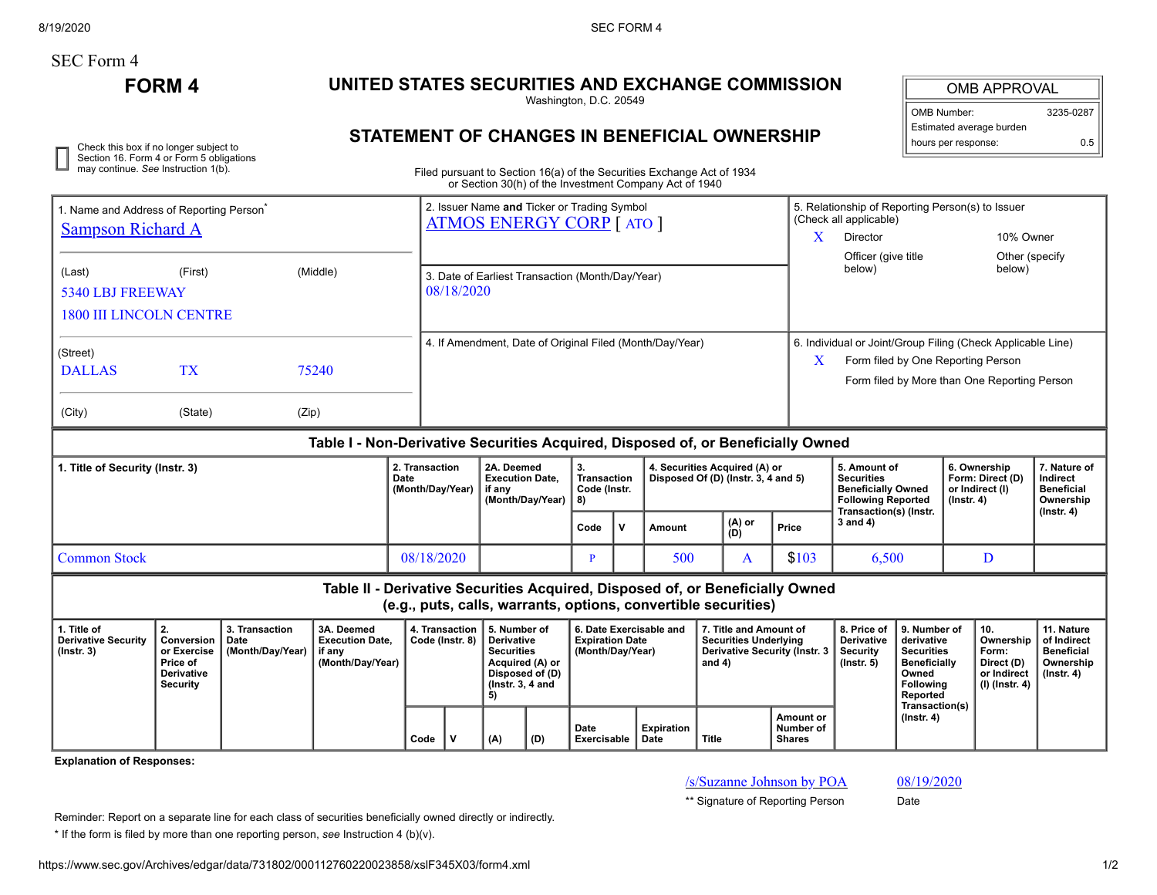8/19/2020 SEC FORM 4

# SEC Form 4

Check this box if no longer subject to Section 16. Form 4 or Form 5 obligations may continue. *See* Instruction 1(b).

## **FORM 4 UNITED STATES SECURITIES AND EXCHANGE COMMISSION**

Washington, D.C. 20549

#### OMB APPROVAL

| <b>OMB Number:</b>       | 3235-0287 |
|--------------------------|-----------|
| Estimated average burden |           |
| hours per response:      | 0.5       |

### **STATEMENT OF CHANGES IN BENEFICIAL OWNERSHIP**

Filed pursuant to Section 16(a) of the Securities Exchange Act of 1934 or Section 30(h) of the Investment Company Act of 1940

| . Name and Address of Reporting Person <sup>®</sup>                                                                                             |                                                                                     |                                            |                                                                                  |                | 2. Issuer Name and Ticker or Trading Symbol<br><b>ATMOS ENERGY CORP</b> [ ATO ]                                                                                |                                                                    |     |                                                                                   |              |                                                                      |                                                        |                                      | 5. Relationship of Reporting Person(s) to Issuer<br>(Check all applicable) |                                                                                                                                   |            |                                                                            |                                                                                 |                                                                                |
|-------------------------------------------------------------------------------------------------------------------------------------------------|-------------------------------------------------------------------------------------|--------------------------------------------|----------------------------------------------------------------------------------|----------------|----------------------------------------------------------------------------------------------------------------------------------------------------------------|--------------------------------------------------------------------|-----|-----------------------------------------------------------------------------------|--------------|----------------------------------------------------------------------|--------------------------------------------------------|--------------------------------------|----------------------------------------------------------------------------|-----------------------------------------------------------------------------------------------------------------------------------|------------|----------------------------------------------------------------------------|---------------------------------------------------------------------------------|--------------------------------------------------------------------------------|
| <b>Sampson Richard A</b>                                                                                                                        |                                                                                     |                                            |                                                                                  |                |                                                                                                                                                                |                                                                    |     |                                                                                   |              |                                                                      |                                                        | X                                    | Director                                                                   |                                                                                                                                   |            | 10% Owner                                                                  |                                                                                 |                                                                                |
|                                                                                                                                                 |                                                                                     |                                            |                                                                                  |                |                                                                                                                                                                |                                                                    |     |                                                                                   |              |                                                                      |                                                        |                                      | Officer (give title<br>below)                                              |                                                                                                                                   |            | Other (specify<br>below)                                                   |                                                                                 |                                                                                |
| (Last)                                                                                                                                          | (First)                                                                             |                                            | (Middle)                                                                         |                | 3. Date of Earliest Transaction (Month/Day/Year)                                                                                                               |                                                                    |     |                                                                                   |              |                                                                      |                                                        |                                      |                                                                            |                                                                                                                                   |            |                                                                            |                                                                                 |                                                                                |
| 5340 LBJ FREEWAY                                                                                                                                |                                                                                     |                                            |                                                                                  |                | 08/18/2020                                                                                                                                                     |                                                                    |     |                                                                                   |              |                                                                      |                                                        |                                      |                                                                            |                                                                                                                                   |            |                                                                            |                                                                                 |                                                                                |
| <b>1800 III LINCOLN CENTRE</b>                                                                                                                  |                                                                                     |                                            |                                                                                  |                |                                                                                                                                                                |                                                                    |     |                                                                                   |              |                                                                      |                                                        |                                      |                                                                            |                                                                                                                                   |            |                                                                            |                                                                                 |                                                                                |
| (Street)                                                                                                                                        |                                                                                     |                                            |                                                                                  |                | 4. If Amendment, Date of Original Filed (Month/Day/Year)                                                                                                       |                                                                    |     |                                                                                   |              |                                                                      |                                                        |                                      | 6. Individual or Joint/Group Filing (Check Applicable Line)                |                                                                                                                                   |            |                                                                            |                                                                                 |                                                                                |
| <b>DALLAS</b>                                                                                                                                   | <b>TX</b>                                                                           |                                            | 75240                                                                            |                |                                                                                                                                                                |                                                                    |     |                                                                                   |              |                                                                      |                                                        | X                                    | Form filed by One Reporting Person                                         |                                                                                                                                   |            |                                                                            |                                                                                 |                                                                                |
|                                                                                                                                                 |                                                                                     |                                            |                                                                                  |                |                                                                                                                                                                |                                                                    |     |                                                                                   |              |                                                                      |                                                        |                                      |                                                                            |                                                                                                                                   |            |                                                                            | Form filed by More than One Reporting Person                                    |                                                                                |
| (City)                                                                                                                                          | (State)                                                                             | (Zip)                                      |                                                                                  |                |                                                                                                                                                                |                                                                    |     |                                                                                   |              |                                                                      |                                                        |                                      |                                                                            |                                                                                                                                   |            |                                                                            |                                                                                 |                                                                                |
|                                                                                                                                                 |                                                                                     |                                            | Table I - Non-Derivative Securities Acquired, Disposed of, or Beneficially Owned |                |                                                                                                                                                                |                                                                    |     |                                                                                   |              |                                                                      |                                                        |                                      |                                                                            |                                                                                                                                   |            |                                                                            |                                                                                 |                                                                                |
| 1. Title of Security (Instr. 3)<br>Date                                                                                                         |                                                                                     |                                            |                                                                                  | 2. Transaction | (Month/Day/Year)                                                                                                                                               | 2A. Deemed<br><b>Execution Date.</b><br>if any<br>(Month/Day/Year) |     | 3.<br><b>Transaction</b><br>Code (Instr.<br>8)                                    |              | 4. Securities Acquired (A) or<br>Disposed Of (D) (Instr. 3, 4 and 5) |                                                        |                                      |                                                                            | 5. Amount of<br><b>Securities</b><br><b>Beneficially Owned</b><br><b>Following Reported</b><br>Transaction(s) (Instr.             |            | 6. Ownership<br>Form: Direct (D)<br>or Indirect (I)<br>$($ lnstr. 4 $)$    |                                                                                 | 7. Nature of<br>Indirect<br><b>Beneficial</b><br>Ownership<br>$($ lnstr. 4 $)$ |
|                                                                                                                                                 |                                                                                     |                                            |                                                                                  |                |                                                                                                                                                                |                                                                    |     | Code                                                                              | $\mathsf{v}$ | Amount                                                               |                                                        | (A) or<br>(D)                        | Price                                                                      | $3$ and $4)$                                                                                                                      |            |                                                                            |                                                                                 |                                                                                |
| <b>Common Stock</b>                                                                                                                             |                                                                                     |                                            |                                                                                  |                | 08/18/2020                                                                                                                                                     |                                                                    |     | P                                                                                 |              | 500<br>A                                                             |                                                        | \$103                                |                                                                            | 6.500                                                                                                                             |            | D                                                                          |                                                                                 |                                                                                |
| Table II - Derivative Securities Acquired, Disposed of, or Beneficially Owned<br>(e.g., puts, calls, warrants, options, convertible securities) |                                                                                     |                                            |                                                                                  |                |                                                                                                                                                                |                                                                    |     |                                                                                   |              |                                                                      |                                                        |                                      |                                                                            |                                                                                                                                   |            |                                                                            |                                                                                 |                                                                                |
| 1. Title of<br><b>Derivative Security</b><br>$($ lnstr. 3 $)$                                                                                   | 2.<br>Conversion<br>or Exercise<br>Price of<br><b>Derivative</b><br><b>Security</b> | 3. Transaction<br>Date<br>(Month/Day/Year) | 3A. Deemed<br><b>Execution Date.</b><br>if anv<br>(Month/Day/Year)               |                | 4. Transaction<br>5. Number of<br>Code (Instr. 8)<br><b>Derivative</b><br><b>Securities</b><br>Acquired (A) or<br>Disposed of (D)<br>( $lnstr. 3, 4$ and<br>5) |                                                                    |     | 6. Date Exercisable and<br><b>Expiration Date</b><br>(Month/Day/Year)<br>and $4)$ |              |                                                                      | 7. Title and Amount of<br><b>Securities Underlying</b> | <b>Derivative Security (Instr. 3</b> | 8. Price of<br><b>Derivative</b><br><b>Security</b><br>(Instr. 5)          | 9. Number of<br>derivative<br><b>Securities</b><br><b>Beneficially</b><br>Owned<br>Following<br><b>Reported</b><br>Transaction(s) |            | 10.<br>Ownership<br>Form:<br>Direct (D)<br>or Indirect<br>$(l)$ (lnstr. 4) | 11. Nature<br>of Indirect<br><b>Beneficial</b><br>Ownership<br>$($ Instr. 4 $)$ |                                                                                |
|                                                                                                                                                 |                                                                                     |                                            |                                                                                  | Code           | v                                                                                                                                                              | (A)                                                                | (D) | Date<br>Exercisable                                                               |              | <b>Expiration</b><br>Date                                            | <b>Title</b>                                           |                                      | Amount or<br>Number of<br><b>Shares</b>                                    |                                                                                                                                   | (Instr. 4) |                                                                            |                                                                                 |                                                                                |

**Explanation of Responses:**

/s/Suzanne Johnson by POA 08/19/2020

\*\* Signature of Reporting Person Date

Reminder: Report on a separate line for each class of securities beneficially owned directly or indirectly.

\* If the form is filed by more than one reporting person, *see* Instruction 4 (b)(v).